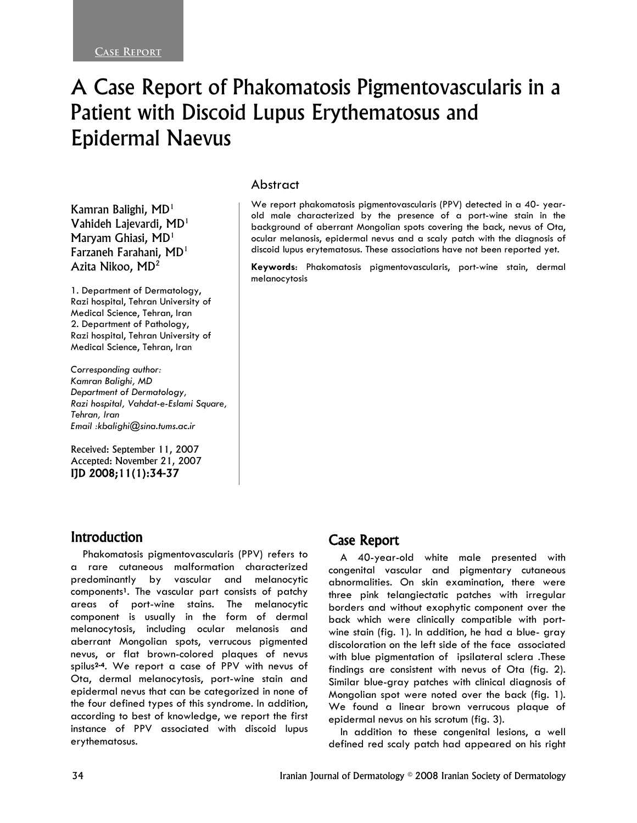# A Case Report of Phakomatosis Pigmentovascularis in a Patient with Discoid Lupus Erythematosus and Epidermal Naevus

Kamran Balighi,  $MD<sup>1</sup>$ Vahideh Lajevardi, MD1 Maryam Ghiasi, MD<sup>1</sup> Farzaneh Farahani, MD1 Azita Nikoo, MD2

1. Department of Dermatology, Razi hospital, Tehran University of Medical Science, Tehran, Iran 2. Department of Pathology, Razi hospital, Tehran University of Medical Science, Tehran, Iran

*Corresponding author: Kamran Balighi, MD Department of Dermatology, Razi hospital, Vahdat-e-Eslami Square, Tehran, Iran Email :kbalighi@sina.tums.ac.ir* 

Received: September 11, 2007 Accepted: November 21, 2007 IJD 2008;11(1):34-37

#### Abstract

We report phakomatosis pigmentovascularis (PPV) detected in a 40- yearold male characterized by the presence of a port-wine stain in the background of aberrant Mongolian spots covering the back, nevus of Ota, ocular melanosis, epidermal nevus and a scaly patch with the diagnosis of discoid lupus erytematosus. These associations have not been reported yet.

**Keywords**: Phakomatosis pigmentovascularis, port-wine stain, dermal melanocytosis

## Introduction

Phakomatosis pigmentovascularis (PPV) refers to a rare cutaneous malformation characterized predominantly by vascular and melanocytic components**1**. The vascular part consists of patchy areas of port-wine stains. The melanocytic component is usually in the form of dermal melanocytosis, including ocular melanosis and aberrant Mongolian spots, verrucous pigmented nevus, or flat brown-colored plaques of nevus spilus**2-4**. We report a case of PPV with nevus of Ota, dermal melanocytosis, port-wine stain and epidermal nevus that can be categorized in none of the four defined types of this syndrome. In addition, according to best of knowledge, we report the first instance of PPV associated with discoid lupus erythematosus.

## Case Report

A 40-year-old white male presented with congenital vascular and pigmentary cutaneous abnormalities. On skin examination, there were three pink telangiectatic patches with irregular borders and without exophytic component over the back which were clinically compatible with portwine stain (fig. 1). In addition, he had a blue- gray discoloration on the left side of the face associated with blue pigmentation of ipsilateral sclera .These findings are consistent with nevus of Ota (fig. 2). Similar blue-gray patches with clinical diagnosis of Mongolian spot were noted over the back (fig. 1). We found a linear brown verrucous plaque of epidermal nevus on his scrotum (fig. 3).

In addition to these congenital lesions, a well defined red scaly patch had appeared on his right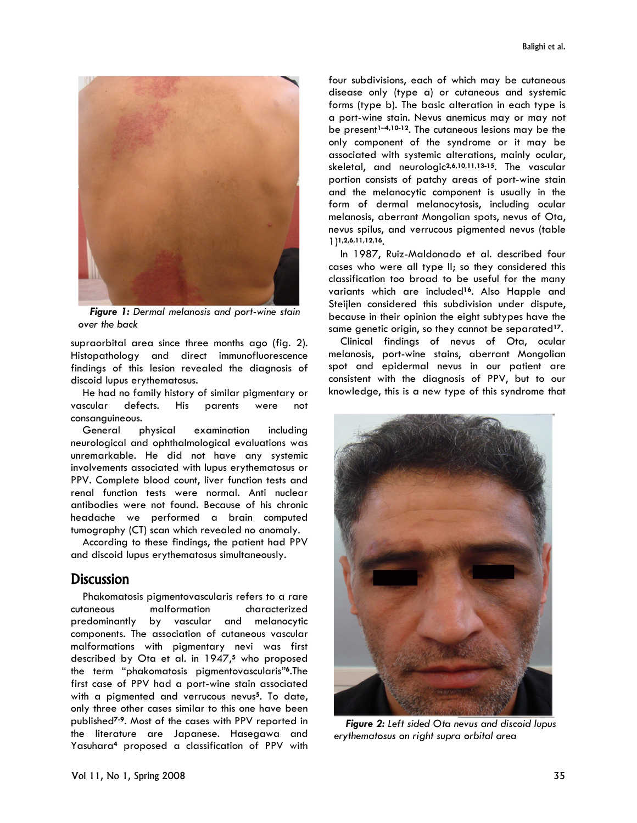

*Figure 1: Dermal melanosis and port-wine stain over the back* 

supraorbital area since three months ago (fig. 2). Histopathology and direct immunofluorescence findings of this lesion revealed the diagnosis of discoid lupus erythematosus.

He had no family history of similar pigmentary or vascular defects. His parents were not consanguineous.

General physical examination including neurological and ophthalmological evaluations was unremarkable. He did not have any systemic involvements associated with lupus erythematosus or PPV. Complete blood count, liver function tests and renal function tests were normal. Anti nuclear antibodies were not found. Because of his chronic headache we performed a brain computed tumography (CT) scan which revealed no anomaly.

According to these findings, the patient had PPV and discoid lupus erythematosus simultaneously.

## **Discussion**

Phakomatosis pigmentovascularis refers to a rare cutaneous malformation characterized predominantly by vascular and melanocytic components. The association of cutaneous vascular malformations with pigmentary nevi was first described by Ota et al. in 1947,**5** who proposed the term "phakomatosis pigmentovascularis"**6**.The first case of PPV had a port-wine stain associated with a pigmented and verrucous nevus**5**. To date, only three other cases similar to this one have been published**7-9**. Most of the cases with PPV reported in the literature are Japanese. Hasegawa and Yasuhara**4** proposed a classification of PPV with

four subdivisions, each of which may be cutaneous disease only (type a) or cutaneous and systemic forms (type b). The basic alteration in each type is a port-wine stain. Nevus anemicus may or may not be present**1–4,10-12**. The cutaneous lesions may be the only component of the syndrome or it may be associated with systemic alterations, mainly ocular, skeletal, and neurologic**2,6,10,11,13-15**. The vascular portion consists of patchy areas of port-wine stain and the melanocytic component is usually in the form of dermal melanocytosis, including ocular melanosis, aberrant Mongolian spots, nevus of Ota, nevus spilus, and verrucous pigmented nevus (table 1)**1,2,6,11,12,16**.

In 1987, Ruiz-Maldonado et al. described four cases who were all type II; so they considered this classification too broad to be useful for the many variants which are included**16**. Also Happle and Steijlen considered this subdivision under dispute, because in their opinion the eight subtypes have the same genetic origin, so they cannot be separated**17**.

Clinical findings of nevus of Ota, ocular melanosis, port-wine stains, aberrant Mongolian spot and epidermal nevus in our patient are consistent with the diagnosis of PPV, but to our knowledge, this is a new type of this syndrome that



*Figure 2: Left sided Ota nevus and discoid lupus erythematosus on right supra orbital area*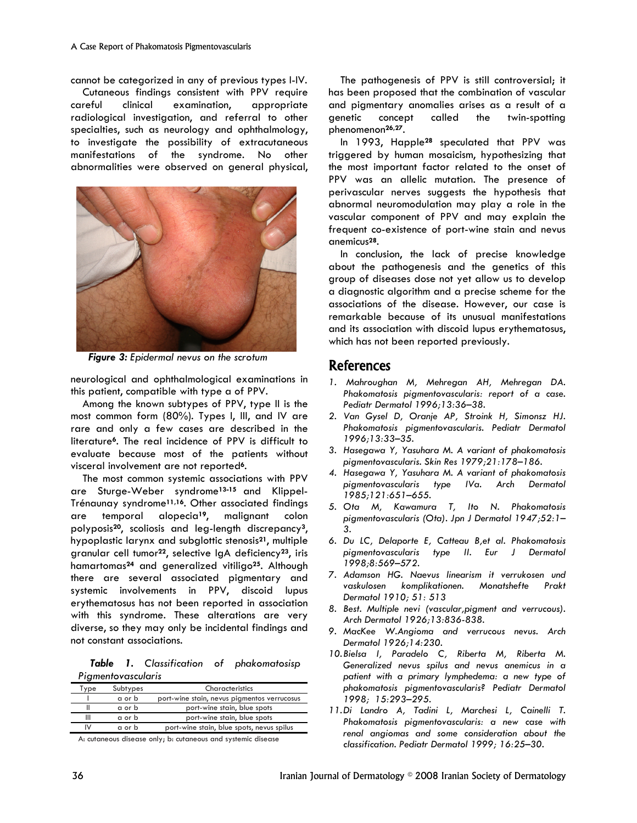cannot be categorized in any of previous types I-IV.

Cutaneous findings consistent with PPV require careful clinical examination, appropriate radiological investigation, and referral to other specialties, such as neurology and ophthalmology, to investigate the possibility of extracutaneous manifestations of the syndrome. No other abnormalities were observed on general physical,



*Figure 3: Epidermal nevus on the scrotum* 

neurological and ophthalmological examinations in this patient, compatible with type a of PPV.

Among the known subtypes of PPV, type II is the most common form (80%). Types I, III, and IV are rare and only a few cases are described in the literature**6**. The real incidence of PPV is difficult to evaluate because most of the patients without visceral involvement are not reported**6**.

The most common systemic associations with PPV are Sturge-Weber syndrome**13-15** and Klippel-Trénaunay syndrome**11,16**. Other associated findings are temporal alopecia**19**, malignant colon polyposis**20**, scoliosis and leg-length discrepancy**3**, hypoplastic larynx and subglottic stenosis**21**, multiple granular cell tumor**22**, selective IgA deficiency**23**, iris hamartomas**24** and generalized vitiligo**25**. Although there are several associated pigmentary and systemic involvements in PPV, discoid lupus erythematosus has not been reported in association with this syndrome. These alterations are very diverse, so they may only be incidental findings and not constant associations.

*Table 1. Classification of phakomatosisp Pigmentovascularis* 

| Type              | Subtypes | Characteristics                             |
|-------------------|----------|---------------------------------------------|
|                   | a or b   | port-wine stain, nevus pigmentos verrucosus |
|                   | a or b   | port-wine stain, blue spots                 |
|                   | a or b   | port-wine stain, blue spots                 |
| ιv                | a or b   | port-wine stain, blue spots, nevus spilus   |
| <b>CONTRACTOR</b> |          |                                             |

A: cutaneous disease only; b: cutaneous and systemic disease

The pathogenesis of PPV is still controversial; it has been proposed that the combination of vascular and pigmentary anomalies arises as a result of a genetic concept called the twin-spotting phenomenon**26,27**.

In 1993, Happle**28** speculated that PPV was triggered by human mosaicism, hypothesizing that the most important factor related to the onset of PPV was an allelic mutation. The presence of perivascular nerves suggests the hypothesis that abnormal neuromodulation may play a role in the vascular component of PPV and may explain the frequent co-existence of port-wine stain and nevus anemicus**28**.

In conclusion, the lack of precise knowledge about the pathogenesis and the genetics of this group of diseases dose not yet allow us to develop a diagnostic algorithm and a precise scheme for the associations of the disease. However, our case is remarkable because of its unusual manifestations and its association with discoid lupus erythematosus, which has not been reported previously.

## References

- *1. Mahroughan M, Mehregan AH, Mehregan DA. Phakomatosis pigmentovascularis: report of a case. Pediatr Dermatol 1996;13:36–38.*
- *2. Van Gysel D, Oranje AP, Stroink H, Simonsz HJ. Phakomatosis pigmentovascularis. Pediatr Dermatol 1996;13:33–35.*
- *3. Hasegawa Y, Yasuhara M. A variant of phakomatosis pigmentovascularis. Skin Res 1979;21:178–186.*
- *4. Hasegawa Y, Yasuhara M. A variant of phakomatosis pigmentovascularis type IVa. Arch Dermatol 1985;121:651–655.*
- *5. Ota M, Kawamura T, Ito N. Phakomatosis pigmentovascularis (Ota). Jpn J Dermatol 1947;52:1– 3.*
- *6. Du LC, Delaporte E, Catteau B,et al. Phakomatosis pigmentovascularis type II. Eur J Dermatol 1998;8:569–572.*
- *7. Adamson HG. Naevus linearism it verrukosen und vaskulosen komplikationen. Monatshefte Prakt Dermatol 1910; 51: 513*
- *8. Best. Multiple nevi (vascular,pigment and verrucous). Arch Dermatol 1926;13:836-838.*
- *9. MacKee W.Angioma and verrucous nevus. Arch Dermatol 1926;14:230.*
- *10.Bielsa I, Paradelo C, Riberta M, Riberta M. Generalized nevus spilus and nevus anemicus in a patient with a primary lymphedema: a new type of phakomatosis pigmentovascularis? Pediatr Dermatol 1998; 15:293–295.*
- *11.Di Landro A, Tadini L, Marchesi L, Cainelli T. Phakomatosis pigmentovascularis: a new case with renal angiomas and some consideration about the classification. Pediatr Dermatol 1999; 16:25–30.*